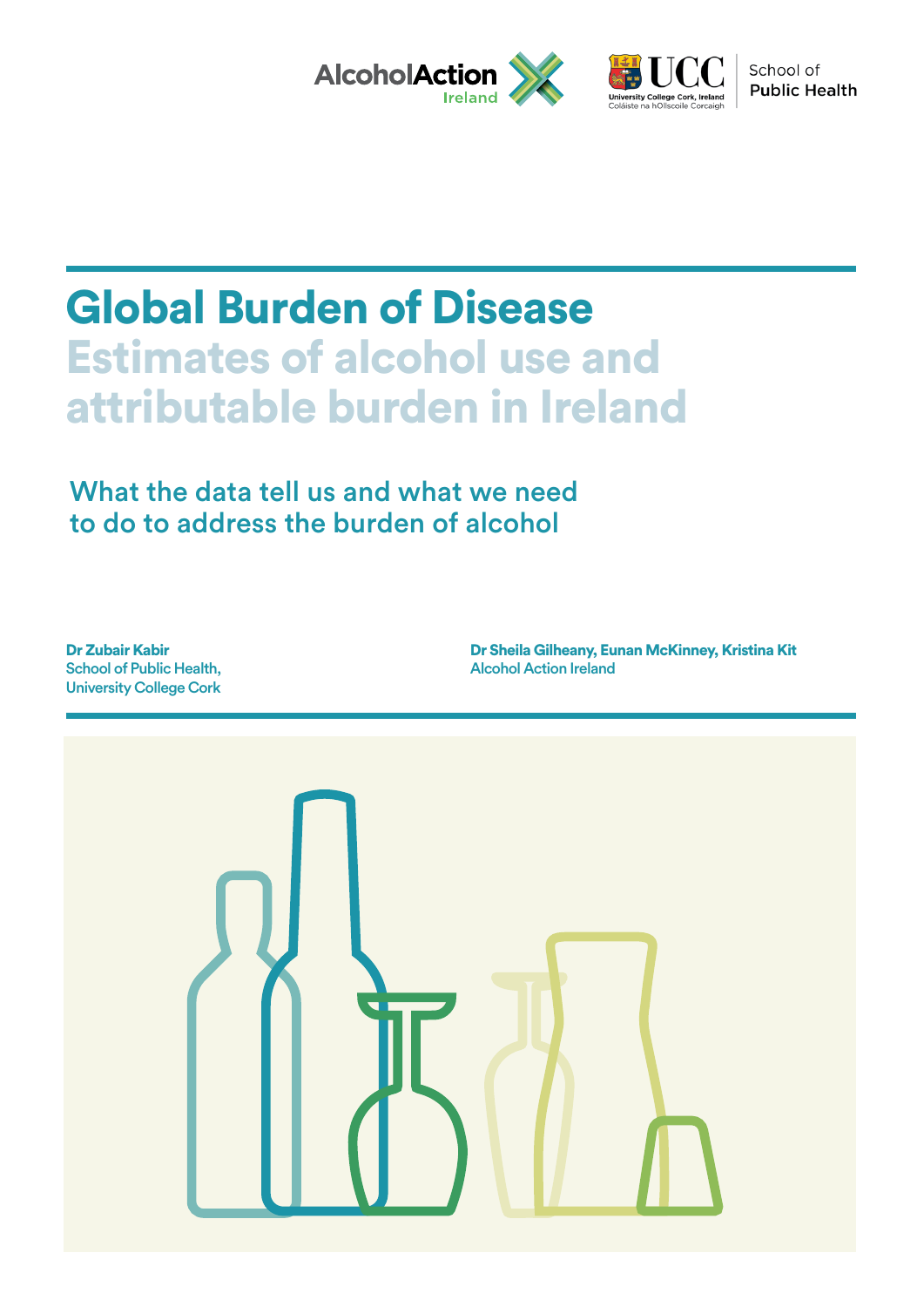



School of **Public Health** 

# Global Burden of Disease Estimates of alcohol use and attributable burden in Ireland

# What the data tell us and what we need to do to address the burden of alcohol

Dr Zubair Kabir School of Public Health, University College Cork

Dr Sheila Gilheany, Eunan McKinney, Kristina Kit Alcohol Action Ireland

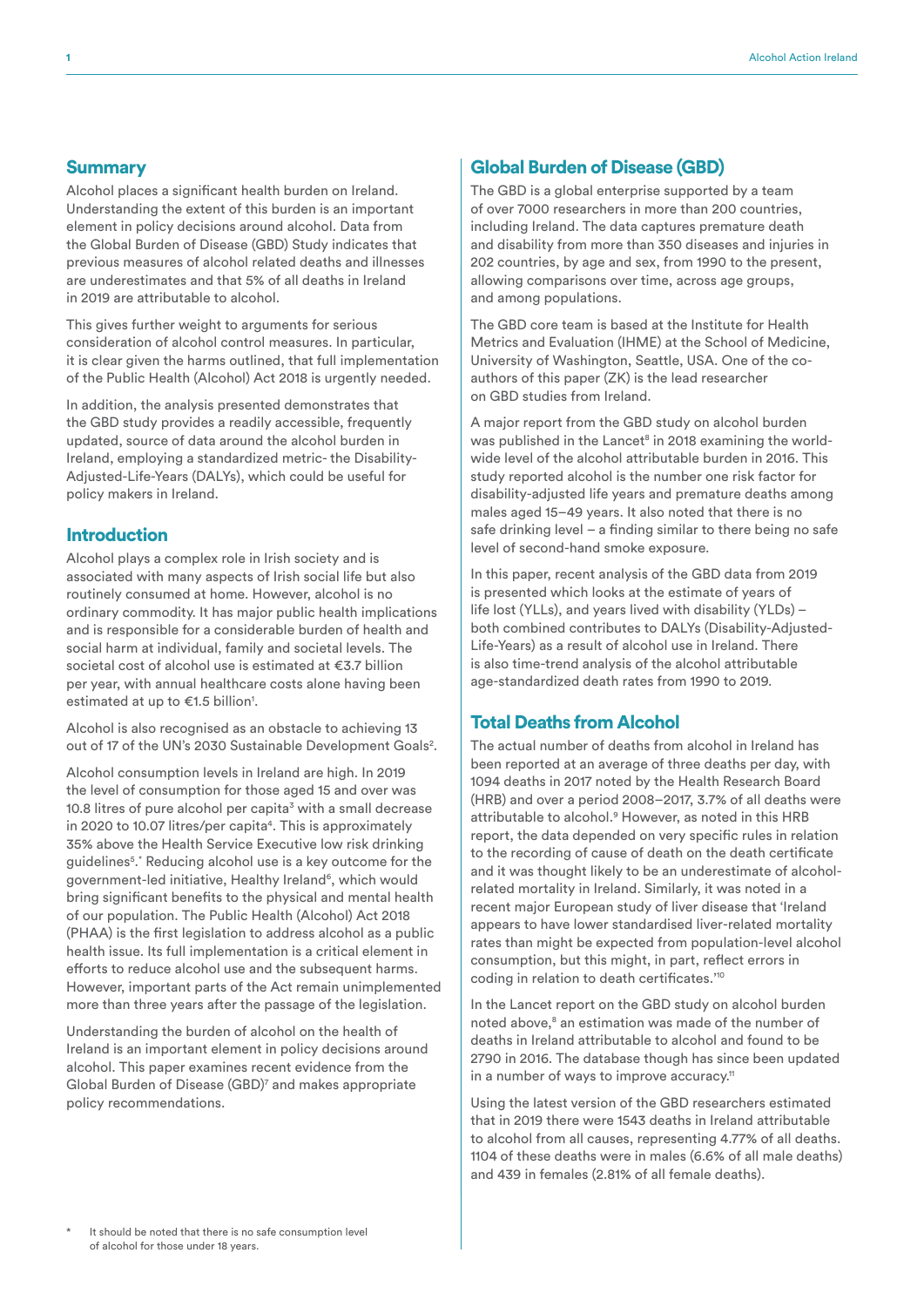#### **Summary**

Alcohol places a significant health burden on Ireland. Understanding the extent of this burden is an important element in policy decisions around alcohol. Data from the Global Burden of Disease (GBD) Study indicates that previous measures of alcohol related deaths and illnesses are underestimates and that 5% of all deaths in Ireland in 2019 are attributable to alcohol.

This gives further weight to arguments for serious consideration of alcohol control measures. In particular, it is clear given the harms outlined, that full implementation of the Public Health (Alcohol) Act 2018 is urgently needed.

In addition, the analysis presented demonstrates that the GBD study provides a readily accessible, frequently updated, source of data around the alcohol burden in Ireland, employing a standardized metric- the Disability-Adjusted-Life-Years (DALYs), which could be useful for policy makers in Ireland.

### Introduction

Alcohol plays a complex role in Irish society and is associated with many aspects of Irish social life but also routinely consumed at home. However, alcohol is no ordinary commodity. It has major public health implications and is responsible for a considerable burden of health and social harm at individual, family and societal levels. The societal cost of alcohol use is estimated at €3.7 billion per year, with annual healthcare costs alone having been estimated at up to €1.5 billion<sup>1</sup>.

Alcohol is also recognised as an obstacle to achieving 13 out of 17 of the UN's 2030 Sustainable Development Goals<sup>2</sup>.

Alcohol consumption levels in Ireland are high. In 2019 the level of consumption for those aged 15 and over was 10.8 litres of pure alcohol per capita<sup>3</sup> with a small decrease in 2020 to 10.07 litres/per capita<sup>4</sup>. This is approximately 35% above the Health Service Executive low risk drinking guidelines<sup>5</sup>.\* Reducing alcohol use is a key outcome for the government-led initiative, Healthy Ireland<sup>6</sup>, which would bring significant benefits to the physical and mental health of our population. The Public Health (Alcohol) Act 2018 (PHAA) is the first legislation to address alcohol as a public health issue. Its full implementation is a critical element in efforts to reduce alcohol use and the subsequent harms. However, important parts of the Act remain unimplemented more than three years after the passage of the legislation.

Understanding the burden of alcohol on the health of Ireland is an important element in policy decisions around alcohol. This paper examines recent evidence from the Global Burden of Disease (GBD)7 and makes appropriate policy recommendations.

#### Global Burden of Disease (GBD)

The GBD is a global enterprise supported by a team of over 7000 researchers in more than 200 countries, including Ireland. The data captures premature death and disability from more than 350 diseases and injuries in 202 countries, by age and sex, from 1990 to the present, allowing comparisons over time, across age groups, and among populations.

The GBD core team is based at the Institute for Health Metrics and Evaluation (IHME) at the School of Medicine, University of Washington, Seattle, USA. One of the coauthors of this paper (ZK) is the lead researcher on GBD studies from Ireland.

A major report from the GBD study on alcohol burden was published in the Lancet<sup>8</sup> in 2018 examining the worldwide level of the alcohol attributable burden in 2016. This study reported alcohol is the number one risk factor for disability-adjusted life years and premature deaths among males aged 15–49 years. It also noted that there is no safe drinking level – a finding similar to there being no safe level of second-hand smoke exposure.

In this paper, recent analysis of the GBD data from 2019 is presented which looks at the estimate of years of life lost (YLLs), and years lived with disability (YLDs) – both combined contributes to DALYs (Disability-Adjusted-Life-Years) as a result of alcohol use in Ireland. There is also time-trend analysis of the alcohol attributable age-standardized death rates from 1990 to 2019.

### Total Deaths from Alcohol

The actual number of deaths from alcohol in Ireland has been reported at an average of three deaths per day, with 1094 deaths in 2017 noted by the Health Research Board (HRB) and over a period 2008–2017, 3.7% of all deaths were attributable to alcohol.<sup>9</sup> However, as noted in this HRB report, the data depended on very specific rules in relation to the recording of cause of death on the death certificate and it was thought likely to be an underestimate of alcoholrelated mortality in Ireland. Similarly, it was noted in a recent major European study of liver disease that 'Ireland appears to have lower standardised liver-related mortality rates than might be expected from population-level alcohol consumption, but this might, in part, reflect errors in coding in relation to death certificates.'10

In the Lancet report on the GBD study on alcohol burden noted above,<sup>8</sup> an estimation was made of the number of deaths in Ireland attributable to alcohol and found to be 2790 in 2016. The database though has since been updated in a number of ways to improve accuracy.<sup>11</sup>

Using the latest version of the GBD researchers estimated that in 2019 there were 1543 deaths in Ireland attributable to alcohol from all causes, representing 4.77% of all deaths. 1104 of these deaths were in males (6.6% of all male deaths) and 439 in females (2.81% of all female deaths).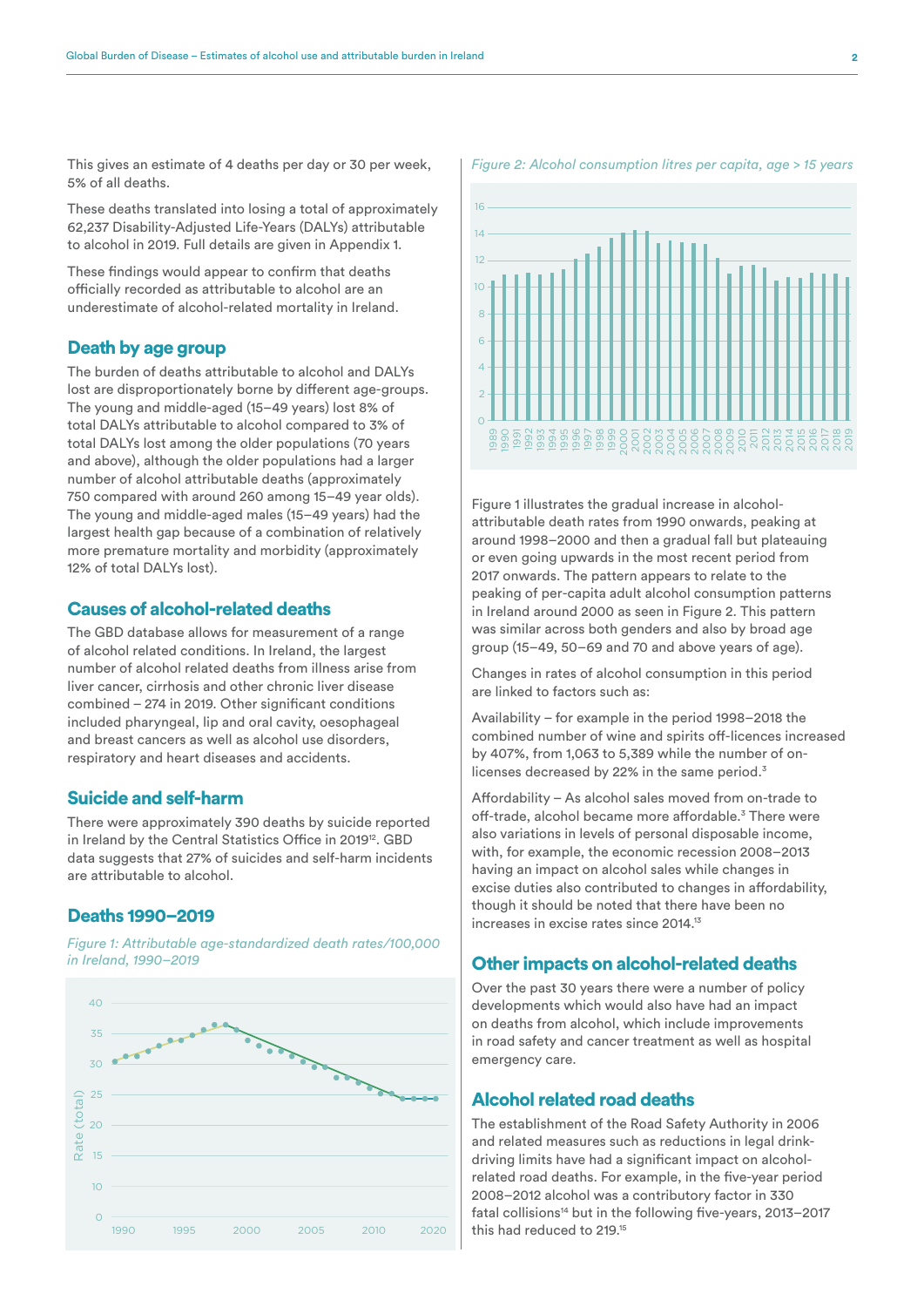This gives an estimate of 4 deaths per day or 30 per week, 5% of all deaths.

These deaths translated into losing a total of approximately 62,237 Disability-Adjusted Life-Years (DALYs) attributable to alcohol in 2019. Full details are given in Appendix 1.

These findings would appear to confirm that deaths officially recorded as attributable to alcohol are an underestimate of alcohol-related mortality in Ireland.

#### Death by age group

The burden of deaths attributable to alcohol and DALYs lost are disproportionately borne by different age-groups. The young and middle-aged (15–49 years) lost 8% of total DALYs attributable to alcohol compared to 3% of total DALYs lost among the older populations (70 years and above), although the older populations had a larger number of alcohol attributable deaths (approximately 750 compared with around 260 among 15–49 year olds). The young and middle-aged males (15–49 years) had the largest health gap because of a combination of relatively more premature mortality and morbidity (approximately 12% of total DALYs lost).

### Causes of alcohol-related deaths

The GBD database allows for measurement of a range of alcohol related conditions. In Ireland, the largest number of alcohol related deaths from illness arise from liver cancer, cirrhosis and other chronic liver disease combined – 274 in 2019. Other significant conditions included pharyngeal, lip and oral cavity, oesophageal and breast cancers as well as alcohol use disorders, respiratory and heart diseases and accidents.

#### Suicide and self-harm

There were approximately 390 deaths by suicide reported in Ireland by the Central Statistics Office in 2019<sup>12</sup>. GBD data suggests that 27% of suicides and self-harm incidents are attributable to alcohol.

#### Deaths 1990–2019

*Figure 1: Attributable age-standardized death rates/100,000 in Ireland, 1990–2019*





Figure 1 illustrates the gradual increase in alcoholattributable death rates from 1990 onwards, peaking at around 1998–2000 and then a gradual fall but plateauing or even going upwards in the most recent period from 2017 onwards. The pattern appears to relate to the peaking of per-capita adult alcohol consumption patterns in Ireland around 2000 as seen in Figure 2. This pattern was similar across both genders and also by broad age group (15–49, 50–69 and 70 and above years of age).

Changes in rates of alcohol consumption in this period are linked to factors such as:

Availability – for example in the period 1998–2018 the combined number of wine and spirits off-licences increased by 407%, from 1,063 to 5,389 while the number of onlicenses decreased by 22% in the same period.<sup>3</sup>

Affordability – As alcohol sales moved from on-trade to off-trade, alcohol became more affordable.<sup>3</sup> There were also variations in levels of personal disposable income, with, for example, the economic recession 2008–2013 having an impact on alcohol sales while changes in excise duties also contributed to changes in affordability, though it should be noted that there have been no increases in excise rates since 2014.13

#### Other impacts on alcohol-related deaths

Over the past 30 years there were a number of policy developments which would also have had an impact on deaths from alcohol, which include improvements in road safety and cancer treatment as well as hospital emergency care.

### Alcohol related road deaths

The establishment of the Road Safety Authority in 2006 and related measures such as reductions in legal drinkdriving limits have had a significant impact on alcoholrelated road deaths. For example, in the five-year period 2008–2012 alcohol was a contributory factor in 330 fatal collisions<sup>14</sup> but in the following five-years, 2013-2017 this had reduced to 219.15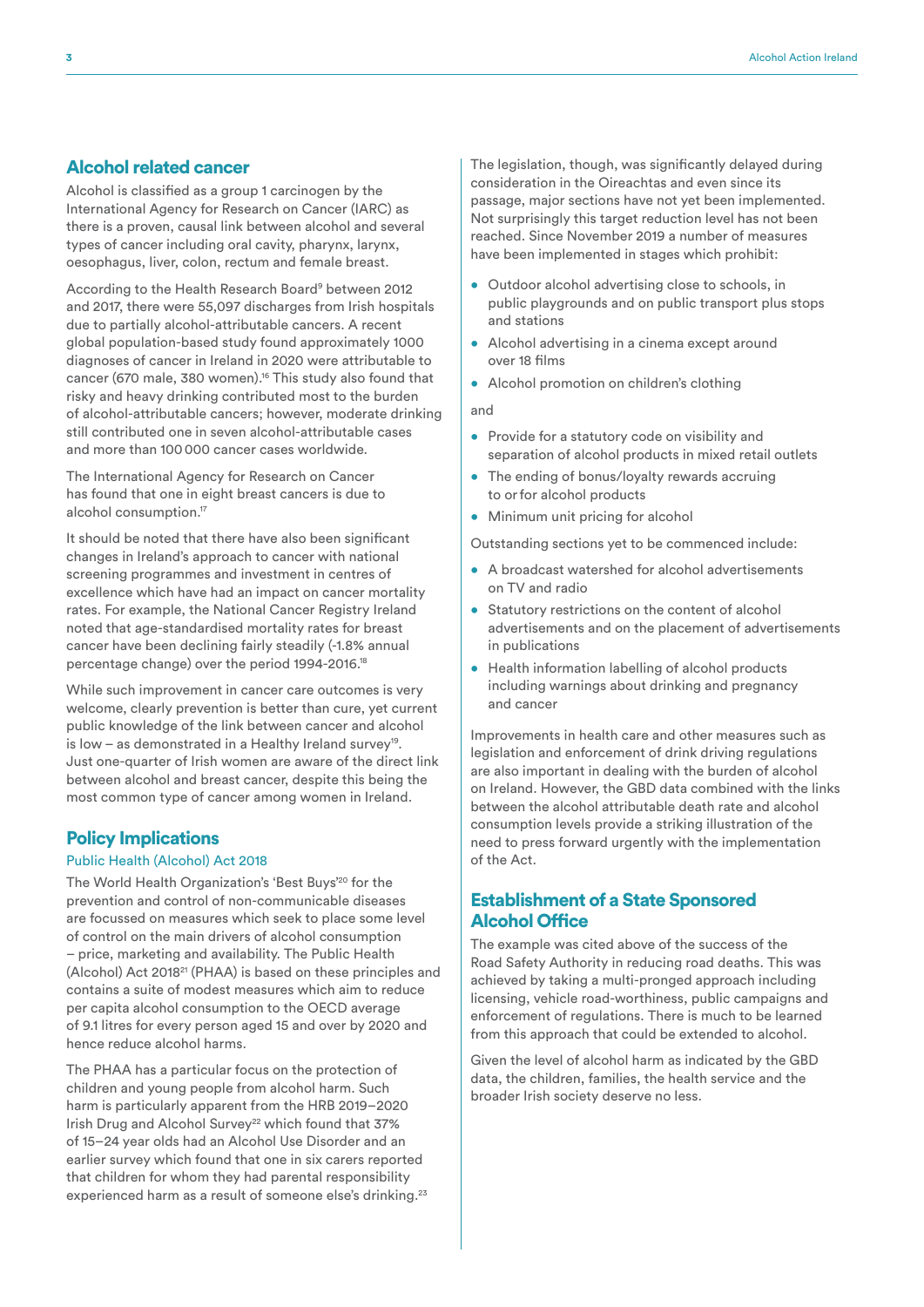### Alcohol related cancer

Alcohol is classified as a group 1 carcinogen by the International Agency for Research on Cancer (IARC) as there is a proven, causal link between alcohol and several types of cancer including oral cavity, pharynx, larynx, oesophagus, liver, colon, rectum and female breast.

According to the Health Research Board<sup>9</sup> between 2012 and 2017, there were 55,097 discharges from Irish hospitals due to partially alcohol-attributable cancers. A recent global population-based study found approximately 1000 diagnoses of cancer in Ireland in 2020 were attributable to cancer (670 male, 380 women).16 This study also found that risky and heavy drinking contributed most to the burden of alcohol-attributable cancers; however, moderate drinking still contributed one in seven alcohol-attributable cases and more than 100000 cancer cases worldwide.

The International Agency for Research on Cancer has found that one in eight breast cancers is due to alcohol consumption.<sup>17</sup>

It should be noted that there have also been significant changes in Ireland's approach to cancer with national screening programmes and investment in centres of excellence which have had an impact on cancer mortality rates. For example, the National Cancer Registry Ireland noted that age-standardised mortality rates for breast cancer have been declining fairly steadily (-1.8% annual percentage change) over the period 1994-2016.18

While such improvement in cancer care outcomes is very welcome, clearly prevention is better than cure, yet current public knowledge of the link between cancer and alcohol is low – as demonstrated in a Healthy Ireland survey19. Just one-quarter of Irish women are aware of the direct link between alcohol and breast cancer, despite this being the most common type of cancer among women in Ireland.

#### Policy Implications

#### Public Health (Alcohol) Act 2018

The World Health Organization's 'Best Buys'20 for the prevention and control of non-communicable diseases are focussed on measures which seek to place some level of control on the main drivers of alcohol consumption – price, marketing and availability. The Public Health (Alcohol) Act 201821 (PHAA) is based on these principles and contains a suite of modest measures which aim to reduce per capita alcohol consumption to the OECD average of 9.1 litres for every person aged 15 and over by 2020 and hence reduce alcohol harms.

The PHAA has a particular focus on the protection of children and young people from alcohol harm. Such harm is particularly apparent from the HRB 2019–2020 Irish Drug and Alcohol Survey<sup>22</sup> which found that 37% of 15–24 year olds had an Alcohol Use Disorder and an earlier survey which found that one in six carers reported that children for whom they had parental responsibility experienced harm as a result of someone else's drinking.<sup>23</sup> The legislation, though, was significantly delayed during consideration in the Oireachtas and even since its passage, major sections have not yet been implemented. Not surprisingly this target reduction level has not been reached. Since November 2019 a number of measures have been implemented in stages which prohibit:

- Outdoor alcohol advertising close to schools, in public playgrounds and on public transport plus stops and stations
- Alcohol advertising in a cinema except around over 18 films
- Alcohol promotion on children's clothing

and

- Provide for a statutory code on visibility and separation of alcohol products in mixed retail outlets
- The ending of bonus/loyalty rewards accruing to or for alcohol products
- Minimum unit pricing for alcohol

Outstanding sections yet to be commenced include:

- A broadcast watershed for alcohol advertisements on TV and radio
- Statutory restrictions on the content of alcohol advertisements and on the placement of advertisements in publications
- Health information labelling of alcohol products including warnings about drinking and pregnancy and cancer

Improvements in health care and other measures such as legislation and enforcement of drink driving regulations are also important in dealing with the burden of alcohol on Ireland. However, the GBD data combined with the links between the alcohol attributable death rate and alcohol consumption levels provide a striking illustration of the need to press forward urgently with the implementation of the Act.

#### Establishment of a State Sponsored Alcohol Office

The example was cited above of the success of the Road Safety Authority in reducing road deaths. This was achieved by taking a multi-pronged approach including licensing, vehicle road-worthiness, public campaigns and enforcement of regulations. There is much to be learned from this approach that could be extended to alcohol.

Given the level of alcohol harm as indicated by the GBD data, the children, families, the health service and the broader Irish society deserve no less.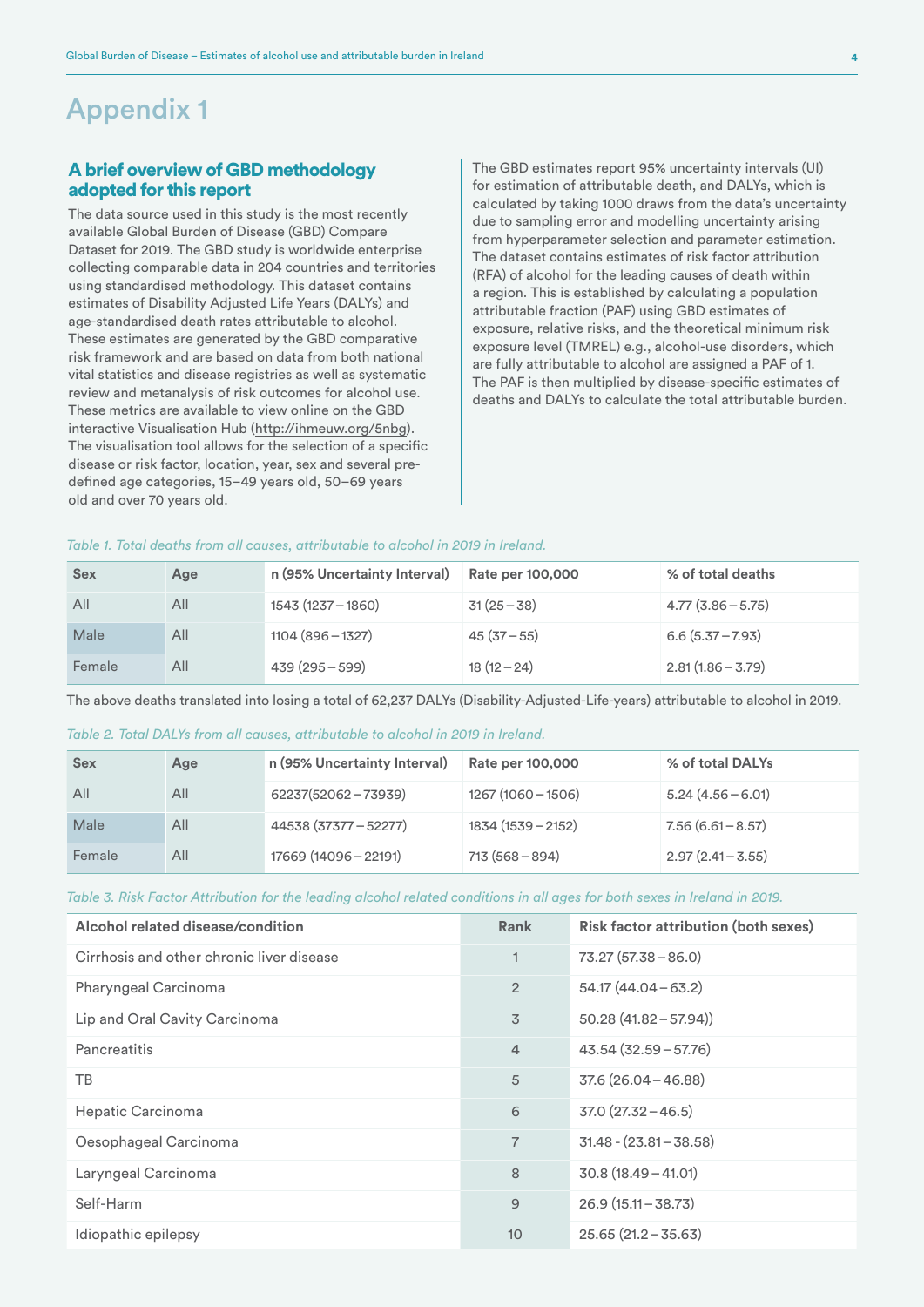### Appendix 1

#### A brief overview of GBD methodology adopted for this report

The data source used in this study is the most recently available Global Burden of Disease (GBD) Compare Dataset for 2019. The GBD study is worldwide enterprise collecting comparable data in 204 countries and territories using standardised methodology. This dataset contains estimates of Disability Adjusted Life Years (DALYs) and age-standardised death rates attributable to alcohol. These estimates are generated by the GBD comparative risk framework and are based on data from both national vital statistics and disease registries as well as systematic review and metanalysis of risk outcomes for alcohol use. These metrics are available to view online on the GBD interactive Visualisation Hub [\(http://ihmeuw.org/5nbg](http://ihmeuw.org/5nbg)). The visualisation tool allows for the selection of a specific disease or risk factor, location, year, sex and several predefined age categories, 15–49 years old, 50–69 years old and over 70 years old.

The GBD estimates report 95% uncertainty intervals (UI) for estimation of attributable death, and DALYs, which is calculated by taking 1000 draws from the data's uncertainty due to sampling error and modelling uncertainty arising from hyperparameter selection and parameter estimation. The dataset contains estimates of risk factor attribution (RFA) of alcohol for the leading causes of death within a region. This is established by calculating a population attributable fraction (PAF) using GBD estimates of exposure, relative risks, and the theoretical minimum risk exposure level (TMREL) e.g., alcohol-use disorders, which are fully attributable to alcohol are assigned a PAF of 1. The PAF is then multiplied by disease-specific estimates of deaths and DALYs to calculate the total attributable burden.

#### *Table 1. Total deaths from all causes, attributable to alcohol in 2019 in Ireland.*

| <b>Sex</b> | Age | n (95% Uncertainty Interval) | Rate per 100,000 | % of total deaths   |
|------------|-----|------------------------------|------------------|---------------------|
| All        | All | 1543 (1237 - 1860)           | $31(25 - 38)$    | $4.77(3.86 - 5.75)$ |
| Male       | All | $1104(896 - 1327)$           | $45(37-55)$      | $6.6(5.37 - 7.93)$  |
| Female     | All | $439(295-599)$               | $18(12-24)$      | $2.81(1.86 - 3.79)$ |

The above deaths translated into losing a total of 62,237 DALYs (Disability-Adjusted-Life-years) attributable to alcohol in 2019.

#### *Table 2. Total DALYs from all causes, attributable to alcohol in 2019 in Ireland.*

| <b>Sex</b> | Age | n (95% Uncertainty Interval) | Rate per 100,000    | % of total DALYs    |
|------------|-----|------------------------------|---------------------|---------------------|
| All        | All | 62237(52062-73939)           | $1267(1060 - 1506)$ | $5.24(4.56 - 6.01)$ |
| Male       | All | 44538 (37377 - 52277)        | 1834 (1539 - 2152)  | $7.56(6.61 - 8.57)$ |
| Female     | All | 17669 (14096 - 22191)        | $713(568 - 894)$    | $2.97(2.41 - 3.55)$ |

*Table 3. Risk Factor Attribution for the leading alcohol related conditions in all ages for both sexes in Ireland in 2019.*

| Alcohol related disease/condition         | Rank           | <b>Risk factor attribution (both sexes)</b> |
|-------------------------------------------|----------------|---------------------------------------------|
| Cirrhosis and other chronic liver disease | 1              | $73.27(57.38 - 86.0)$                       |
| Pharyngeal Carcinoma                      | $\overline{2}$ | $54.17(44.04 - 63.2)$                       |
| Lip and Oral Cavity Carcinoma             | 3              | $50.28(41.82 - 57.94))$                     |
| <b>Pancreatitis</b>                       | 4              | $43.54(32.59 - 57.76)$                      |
| ТB                                        | 5              | $37.6(26.04 - 46.88)$                       |
| Hepatic Carcinoma                         | 6              | $37.0(27.32 - 46.5)$                        |
| Oesophageal Carcinoma                     | $\overline{7}$ | $31.48 - (23.81 - 38.58)$                   |
| Laryngeal Carcinoma                       | 8              | $30.8(18.49 - 41.01)$                       |
| Self-Harm                                 | 9              | $26.9(15.11 - 38.73)$                       |
| Idiopathic epilepsy                       | 10             | $25.65(21.2 - 35.63)$                       |